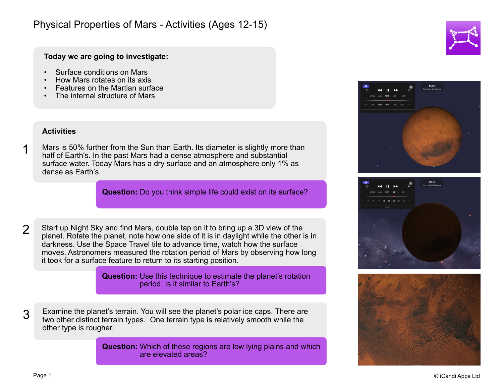## **Today we are going to investigate:**

- Surface conditions on Mars
- How Mars rotates on its axis
- Features on the Martian surface
- The internal structure of Mars

## **Activities**

1

Mars is 50% further from the Sun than Earth. Its diameter is slightly more than half of Earth's. In the past Mars had a dense atmosphere and substantial surface water. Today Mars has a dry surface and an atmosphere only 1% as dense as Earth's.

**Question:** Do you think simple life could exist on its surface?

Start up Night Sky and find Mars, double tap on it to bring up a 3D view of the planet. Rotate the planet, note how one side of it is in daylight while the other is in darkness. Use the Space Travel tile to advance time, watch how the surface moves. Astronomers measured the rotation period of Mars by observing how long it took for a surface feature to return to its starting position.  $\mathcal{P}$ 

> **Question:** Use this technique to estimate the planet's rotation period. Is it similar to Earth's?

3 Examine the planet's terrain. You will see the planet's polar ice caps. There are two other distinct terrain types. One terrain type is relatively smooth while the other type is rougher.

> **Question:** Which of these regions are low lying plains and which are elevated areas?